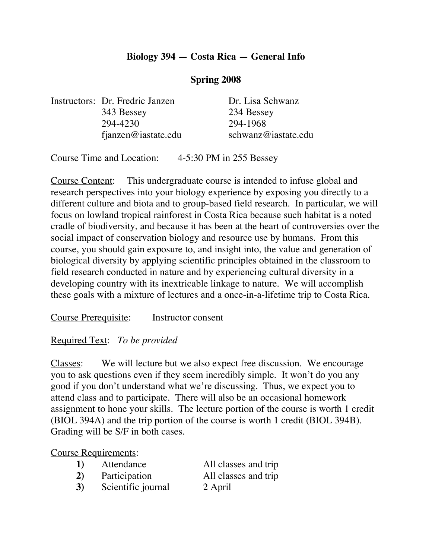### **Biology 394 — Costa Rica — General Info**

#### **Spring 2008**

Instructors: Dr. Fredric Janzen Dr. Lisa Schwanz 343 Bessey 234 Bessey 294-4230 294-1968

fjanzen@iastate.edu schwanz@iastate.edu

Course Time and Location: 4-5:30 PM in 255 Bessey

Course Content: This undergraduate course is intended to infuse global and research perspectives into your biology experience by exposing you directly to a different culture and biota and to group-based field research. In particular, we will focus on lowland tropical rainforest in Costa Rica because such habitat is a noted cradle of biodiversity, and because it has been at the heart of controversies over the social impact of conservation biology and resource use by humans. From this course, you should gain exposure to, and insight into, the value and generation of biological diversity by applying scientific principles obtained in the classroom to field research conducted in nature and by experiencing cultural diversity in a developing country with its inextricable linkage to nature. We will accomplish these goals with a mixture of lectures and a once-in-a-lifetime trip to Costa Rica.

Course Prerequisite: Instructor consent

#### Required Text: *To be provided*

Classes: We will lecture but we also expect free discussion. We encourage you to ask questions even if they seem incredibly simple. It won't do you any good if you don't understand what we're discussing. Thus, we expect you to attend class and to participate. There will also be an occasional homework assignment to hone your skills. The lecture portion of the course is worth 1 credit (BIOL 394A) and the trip portion of the course is worth 1 credit (BIOL 394B). Grading will be S/F in both cases.

#### Course Requirements:

| 1) | Attendance    | All classes and trip |
|----|---------------|----------------------|
| 2) | Participation | All classes and trip |

**3)** Scientific journal 2 April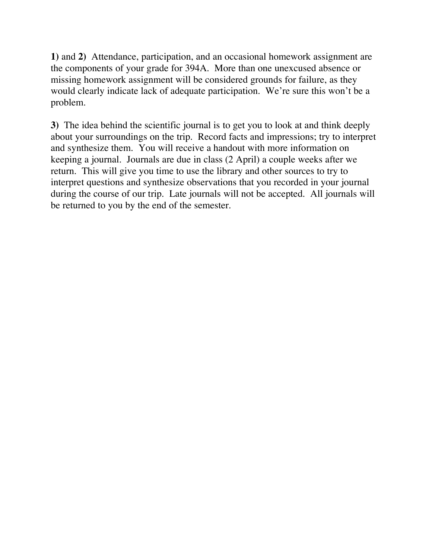**1)** and **2)** Attendance, participation, and an occasional homework assignment are the components of your grade for 394A. More than one unexcused absence or missing homework assignment will be considered grounds for failure, as they would clearly indicate lack of adequate participation. We're sure this won't be a problem.

**3)** The idea behind the scientific journal is to get you to look at and think deeply about your surroundings on the trip. Record facts and impressions; try to interpret and synthesize them. You will receive a handout with more information on keeping a journal. Journals are due in class (2 April) a couple weeks after we return. This will give you time to use the library and other sources to try to interpret questions and synthesize observations that you recorded in your journal during the course of our trip. Late journals will not be accepted. All journals will be returned to you by the end of the semester.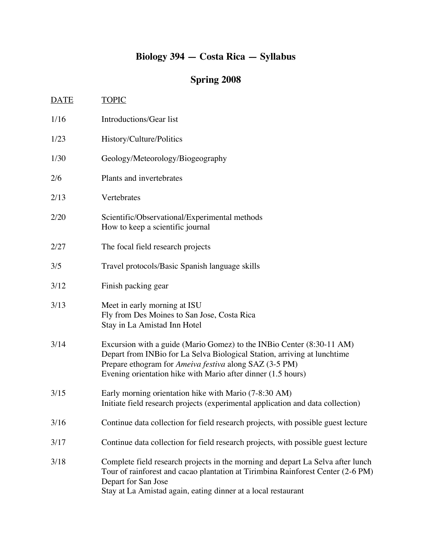## **Biology 394 — Costa Rica — Syllabus**

# **Spring 2008**

| <b>DATE</b> | <u>TOPIC</u>                                                                                                                                                                                                                                                                |
|-------------|-----------------------------------------------------------------------------------------------------------------------------------------------------------------------------------------------------------------------------------------------------------------------------|
| 1/16        | Introductions/Gear list                                                                                                                                                                                                                                                     |
| 1/23        | History/Culture/Politics                                                                                                                                                                                                                                                    |
| 1/30        | Geology/Meteorology/Biogeography                                                                                                                                                                                                                                            |
| 2/6         | Plants and invertebrates                                                                                                                                                                                                                                                    |
| 2/13        | Vertebrates                                                                                                                                                                                                                                                                 |
| 2/20        | Scientific/Observational/Experimental methods<br>How to keep a scientific journal                                                                                                                                                                                           |
| 2/27        | The focal field research projects                                                                                                                                                                                                                                           |
| 3/5         | Travel protocols/Basic Spanish language skills                                                                                                                                                                                                                              |
| 3/12        | Finish packing gear                                                                                                                                                                                                                                                         |
| 3/13        | Meet in early morning at ISU<br>Fly from Des Moines to San Jose, Costa Rica<br>Stay in La Amistad Inn Hotel                                                                                                                                                                 |
| 3/14        | Excursion with a guide (Mario Gomez) to the INBio Center (8:30-11 AM)<br>Depart from INBio for La Selva Biological Station, arriving at lunchtime<br>Prepare ethogram for Ameiva festiva along SAZ (3-5 PM)<br>Evening orientation hike with Mario after dinner (1.5 hours) |
| 3/15        | Early morning orientation hike with Mario (7-8:30 AM)<br>Initiate field research projects (experimental application and data collection)                                                                                                                                    |
| 3/16        | Continue data collection for field research projects, with possible guest lecture                                                                                                                                                                                           |
| 3/17        | Continue data collection for field research projects, with possible guest lecture                                                                                                                                                                                           |
| 3/18        | Complete field research projects in the morning and depart La Selva after lunch<br>Tour of rainforest and cacao plantation at Tirimbina Rainforest Center (2-6 PM)<br>Depart for San Jose<br>Stay at La Amistad again, eating dinner at a local restaurant                  |